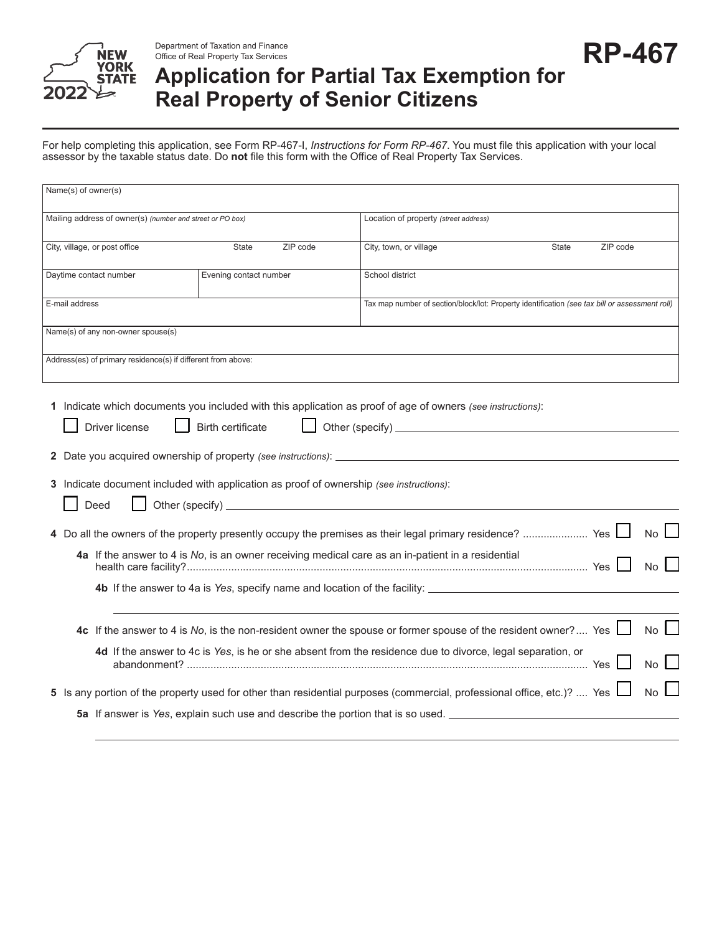

Office of Real Property Tax Services

## Department of Taxation and Finance<br>Office of Real Property Tax Services<br>And the control of the control of the control of the control of the control of the control of the control of the control of the control of the control **Application for Partial Tax Exemption for Real Property of Senior Citizens**

For help completing this application, see Form RP-467-I, *Instructions for Form RP-467*. You must file this application with your local assessor by the taxable status date. Do **not** file this form with the Office of Real Property Tax Services.

| Name(s) of owner(s)                                                                                                                                                                                                              |                          |          |                                                                                                                                                                                                                             |       |          |                                       |
|----------------------------------------------------------------------------------------------------------------------------------------------------------------------------------------------------------------------------------|--------------------------|----------|-----------------------------------------------------------------------------------------------------------------------------------------------------------------------------------------------------------------------------|-------|----------|---------------------------------------|
| Mailing address of owner(s) (number and street or PO box)                                                                                                                                                                        |                          |          | Location of property (street address)                                                                                                                                                                                       |       |          |                                       |
| City, village, or post office                                                                                                                                                                                                    | State                    | ZIP code | City, town, or village                                                                                                                                                                                                      | State | ZIP code |                                       |
| Daytime contact number                                                                                                                                                                                                           | Evening contact number   |          | School district                                                                                                                                                                                                             |       |          |                                       |
| E-mail address                                                                                                                                                                                                                   |                          |          | Tax map number of section/block/lot: Property identification (see tax bill or assessment roll)                                                                                                                              |       |          |                                       |
| Name(s) of any non-owner spouse(s)                                                                                                                                                                                               |                          |          |                                                                                                                                                                                                                             |       |          |                                       |
| Address(es) of primary residence(s) if different from above:                                                                                                                                                                     |                          |          |                                                                                                                                                                                                                             |       |          |                                       |
| 1 Indicate which documents you included with this application as proof of age of owners (see instructions):<br>Driver license<br>3 Indicate document included with application as proof of ownership (see instructions):<br>Deed | <b>Birth certificate</b> |          | 4a If the answer to 4 is No, is an owner receiving medical care as an in-patient in a residential                                                                                                                           |       |          | No l                                  |
|                                                                                                                                                                                                                                  |                          |          | 4b If the answer to 4a is Yes, specify name and location of the facility: __________________________                                                                                                                        |       |          |                                       |
|                                                                                                                                                                                                                                  |                          |          | 4c If the answer to 4 is No, is the non-resident owner the spouse or former spouse of the resident owner? Yes<br>4d If the answer to 4c is Yes, is he or she absent from the residence due to divorce, legal separation, or |       |          | No<br>$No$   $\overline{\phantom{a}}$ |
| 5 Is any portion of the property used for other than residential purposes (commercial, professional office, etc.)?  Yes $\Box$                                                                                                   |                          |          | 5a If answer is Yes, explain such use and describe the portion that is so used.                                                                                                                                             |       |          | No I                                  |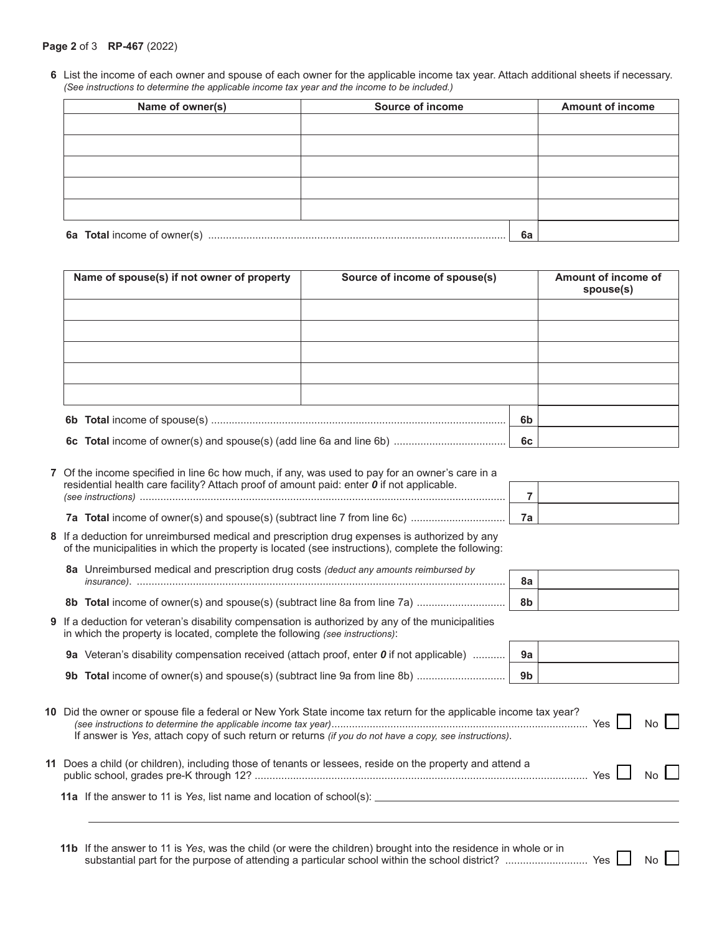## **Page 2** of 3 **RP-467** (2022)

**6** List the income of each owner and spouse of each owner for the applicable income tax year. Attach additional sheets if necessary. *(See instructions to determine the applicable income tax year and the income to be included.)*

| Name of owner(s) | <b>Source of income</b> | <b>Amount of income</b> |
|------------------|-------------------------|-------------------------|
|                  |                         |                         |
|                  |                         |                         |
|                  |                         |                         |
|                  |                         |                         |
|                  |                         |                         |
|                  |                         | 6a                      |

| Name of spouse(s) if not owner of property | Source of income of spouse(s) |                | Amount of income of<br>spouse(s) |
|--------------------------------------------|-------------------------------|----------------|----------------------------------|
|                                            |                               |                |                                  |
|                                            |                               |                |                                  |
|                                            |                               |                |                                  |
|                                            |                               |                |                                  |
|                                            |                               |                |                                  |
|                                            |                               | 6 <sub>b</sub> |                                  |
|                                            |                               | 6c             |                                  |

| 7 Of the income specified in line 6c how much, if any, was used to pay for an owner's care in a                                |  |
|--------------------------------------------------------------------------------------------------------------------------------|--|
| residential health care facility? Attach proof of amount paid: enter $\boldsymbol{0}$ if not applicable.<br>(see instructions) |  |
| 7a Total income of owner(s) and spouse(s) (subtract line 7 from line 6c)                                                       |  |

- **8** If a deduction for unreimbursed medical and prescription drug expenses is authorized by any of the municipalities in which the property is located (see instructions), complete the following:
	- **8a** Unreimbursed medical and prescription drug costs *(deduct any amounts reimbursed by insurance)*. ............................................................................................................................. **8a**

**8b Total** income of owner(s) and spouse(s) (subtract line 8a from line 7a) .............................. **8b**

| <b>9</b> If a deduction for veteran's disability compensation is authorized by any of the municipalities<br>in which the property is located, complete the following (see instructions): |    |
|------------------------------------------------------------------------------------------------------------------------------------------------------------------------------------------|----|
| <b>9a</b> Veteran's disability compensation received (attach proof, enter $\boldsymbol{0}$ if not applicable)                                                                            | 9а |

| 9b $\,$ Total income of owner(s) and spouse(s) (subtract line 9a from line 8b) ………………………… $\, \,$ 9b $\, \,$ |  |
|--------------------------------------------------------------------------------------------------------------|--|
|                                                                                                              |  |

| 10 Did the owner or spouse file a federal or New York State income tax return for the applicable income tax year?<br>If answer is Yes, attach copy of such return or returns (if you do not have a copy, see instructions). | Yes $\vert$ $\vert$ No $\vert$ $\vert$ |  |
|-----------------------------------------------------------------------------------------------------------------------------------------------------------------------------------------------------------------------------|----------------------------------------|--|
| 11 Does a child (or children), including those of tenants or lessees, reside on the property and attend a                                                                                                                   | $Yes \tNo$                             |  |

|  | <b>11a</b> If the answer to 11 is Yes, list name and location of school(s): |  |  |  |  |  |
|--|-----------------------------------------------------------------------------|--|--|--|--|--|
|--|-----------------------------------------------------------------------------|--|--|--|--|--|

**11b** If the answer to 11 is *Yes*, was the child (or were the children) brought into the residence in whole or in substantial part for the purpose of attending a particular school within the school district? ............................ Yes No

| 7a |  |
|----|--|

| 8а             |  |
|----------------|--|
| 9 <sub>h</sub> |  |